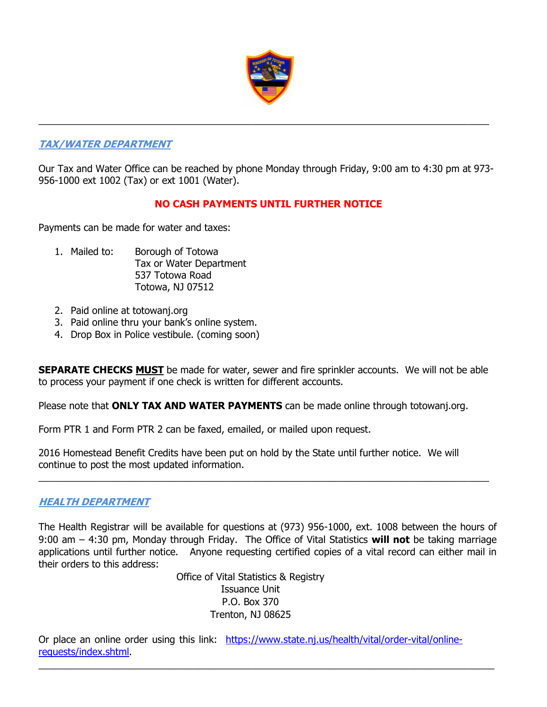

## **TAX/WATER DEPARTMENT**

Our Tax and Water Office can be reached by phone Monday through Friday, 9:00 am to 4:30 pm at 973- 956-1000 ext 1002 (Tax) or ext 1001 (Water).

 $\_$  , and the set of the set of the set of the set of the set of the set of the set of the set of the set of the set of the set of the set of the set of the set of the set of the set of the set of the set of the set of th

# **NO CASH PAYMENTS UNTIL FURTHER NOTICE**

Payments can be made for water and taxes:

- 1. Mailed to: Borough of Totowa Tax or Water Department 537 Totowa Road Totowa, NJ 07512
- 2. Paid online at totowanj.org
- 3. Paid online thru your bank's online system.
- 4. Drop Box in Police vestibule. (coming soon)

**SEPARATE CHECKS MUST** be made for water, sewer and fire sprinkler accounts. We will not be able to process your payment if one check is written for different accounts.

Please note that **ONLY TAX AND WATER PAYMENTS** can be made online through totowanj.org.

Form PTR 1 and Form PTR 2 can be faxed, emailed, or mailed upon request.

2016 Homestead Benefit Credits have been put on hold by the State until further notice. We will continue to post the most updated information.

 $\_$  , and the set of the set of the set of the set of the set of the set of the set of the set of the set of the set of the set of the set of the set of the set of the set of the set of the set of the set of the set of th

## **HEALTH DEPARTMENT**

The Health Registrar will be available for questions at (973) 956-1000, ext. 1008 between the hours of 9:00 am – 4:30 pm, Monday through Friday. The Office of Vital Statistics **will not** be taking marriage applications until further notice. Anyone requesting certified copies of a vital record can either mail in their orders to this address:

> Office of Vital Statistics & Registry Issuance Unit P.O. Box 370 Trenton, NJ 08625

Or place an online order using this link: [https://www.state.nj.us/health/vital/order-vital/online](https://www.state.nj.us/health/vital/order-vital/online-requests/index.shtml)[requests/index.shtml.](https://www.state.nj.us/health/vital/order-vital/online-requests/index.shtml)

 $\_$  , and the set of the set of the set of the set of the set of the set of the set of the set of the set of the set of the set of the set of the set of the set of the set of the set of the set of the set of the set of th